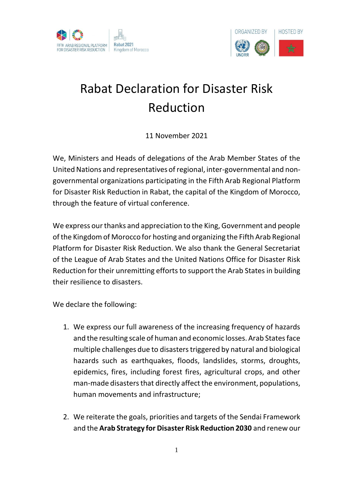



## Rabat Declaration for Disaster Risk Reduction

11 November 2021

We, Ministers and Heads of delegations of the Arab Member States of the United Nations and representatives of regional, inter-governmental and nongovernmental organizations participating in the Fifth Arab Regional Platform for Disaster Risk Reduction in Rabat, the capital of the Kingdom of Morocco, through the feature of virtual conference.

We express our thanks and appreciation to the King, Government and people of the Kingdom of Morocco for hosting and organizing the Fifth Arab Regional Platform for Disaster Risk Reduction. We also thank the General Secretariat of the League of Arab States and the United Nations Office for Disaster Risk Reduction for their unremitting efforts to support the Arab States in building their resilience to disasters.

We declare the following:

- 1. We express our full awareness of the increasing frequency of hazards and the resulting scale of human and economic losses. Arab States face multiple challenges due to disasters triggered by natural and biological hazards such as earthquakes, floods, landslides, storms, droughts, epidemics, fires, including forest fires, agricultural crops, and other man-made disasters that directly affect the environment, populations, human movements and infrastructure;
- 2. We reiterate the goals, priorities and targets of the Sendai Framework and the **Arab Strategy for Disaster Risk Reduction 2030** and renew our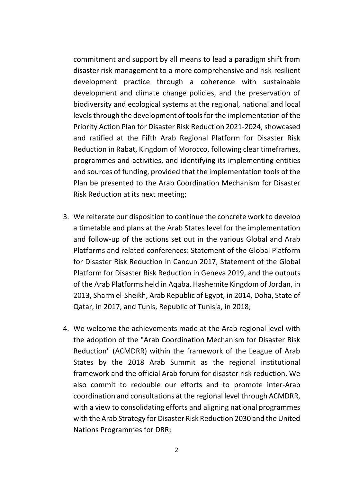commitment and support by all means to lead a paradigm shift from disaster risk management to a more comprehensive and risk-resilient development practice through a coherence with sustainable development and climate change policies, and the preservation of biodiversity and ecological systems at the regional, national and local levels through the development of tools for the implementation of the Priority Action Plan for Disaster Risk Reduction 2021-2024, showcased and ratified at the Fifth Arab Regional Platform for Disaster Risk Reduction in Rabat, Kingdom of Morocco, following clear timeframes, programmes and activities, and identifying its implementing entities and sources of funding, provided that the implementation tools of the Plan be presented to the Arab Coordination Mechanism for Disaster Risk Reduction at its next meeting;

- 3. We reiterate our disposition to continue the concrete work to develop a timetable and plans at the Arab States level for the implementation and follow-up of the actions set out in the various Global and Arab Platforms and related conferences: Statement of the Global Platform for Disaster Risk Reduction in Cancun 2017, Statement of the Global Platform for Disaster Risk Reduction in Geneva 2019, and the outputs of the Arab Platforms held in Aqaba, Hashemite Kingdom of Jordan, in 2013, Sharm el-Sheikh, Arab Republic of Egypt, in 2014, Doha, State of Qatar, in 2017, and Tunis, Republic of Tunisia, in 2018;
- 4. We welcome the achievements made at the Arab regional level with the adoption of the "Arab Coordination Mechanism for Disaster Risk Reduction" (ACMDRR) within the framework of the League of Arab States by the 2018 Arab Summit as the regional institutional framework and the official Arab forum for disaster risk reduction. We also commit to redouble our efforts and to promote inter-Arab coordination and consultations at the regional level through ACMDRR, with a view to consolidating efforts and aligning national programmes with the Arab Strategy for Disaster Risk Reduction 2030 and the United Nations Programmes for DRR;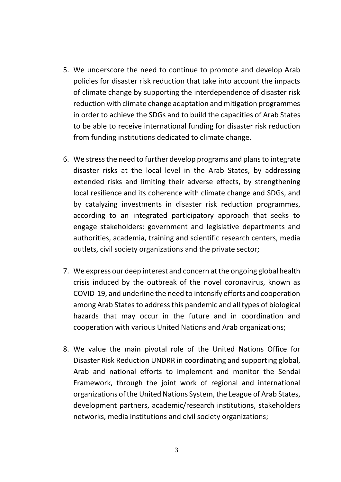- 5. We underscore the need to continue to promote and develop Arab policies for disaster risk reduction that take into account the impacts of climate change by supporting the interdependence of disaster risk reduction with climate change adaptation and mitigation programmes in order to achieve the SDGs and to build the capacities of Arab States to be able to receive international funding for disaster risk reduction from funding institutions dedicated to climate change.
- 6. We stress the need to further develop programs and plans to integrate disaster risks at the local level in the Arab States, by addressing extended risks and limiting their adverse effects, by strengthening local resilience and its coherence with climate change and SDGs, and by catalyzing investments in disaster risk reduction programmes, according to an integrated participatory approach that seeks to engage stakeholders: government and legislative departments and authorities, academia, training and scientific research centers, media outlets, civil society organizations and the private sector;
- 7. We express our deep interest and concern at the ongoing global health crisis induced by the outbreak of the novel coronavirus, known as COVID-19, and underline the need to intensify efforts and cooperation among Arab States to address this pandemic and all types of biological hazards that may occur in the future and in coordination and cooperation with various United Nations and Arab organizations;
- 8. We value the main pivotal role of the United Nations Office for Disaster Risk Reduction UNDRR in coordinating and supporting global, Arab and national efforts to implement and monitor the Sendai Framework, through the joint work of regional and international organizations of the United Nations System, the League of Arab States, development partners, academic/research institutions, stakeholders networks, media institutions and civil society organizations;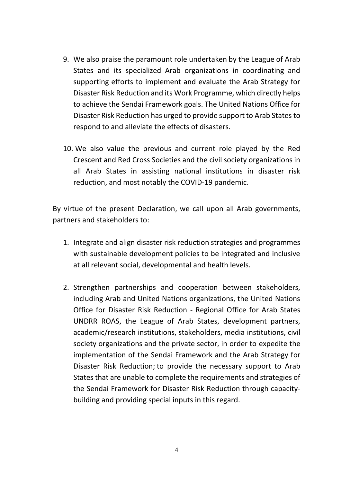- 9. We also praise the paramount role undertaken by the League of Arab States and its specialized Arab organizations in coordinating and supporting efforts to implement and evaluate the Arab Strategy for Disaster Risk Reduction and its Work Programme, which directly helps to achieve the Sendai Framework goals. The United Nations Office for Disaster Risk Reduction has urged to provide support to Arab States to respond to and alleviate the effects of disasters.
- 10. We also value the previous and current role played by the Red Crescent and Red Cross Societies and the civil society organizations in all Arab States in assisting national institutions in disaster risk reduction, and most notably the COVID-19 pandemic.

By virtue of the present Declaration, we call upon all Arab governments, partners and stakeholders to:

- 1. Integrate and align disaster risk reduction strategies and programmes with sustainable development policies to be integrated and inclusive at all relevant social, developmental and health levels.
- 2. Strengthen partnerships and cooperation between stakeholders, including Arab and United Nations organizations, the United Nations Office for Disaster Risk Reduction - Regional Office for Arab States UNDRR ROAS, the League of Arab States, development partners, academic/research institutions, stakeholders, media institutions, civil society organizations and the private sector, in order to expedite the implementation of the Sendai Framework and the Arab Strategy for Disaster Risk Reduction; to provide the necessary support to Arab States that are unable to complete the requirements and strategies of the Sendai Framework for Disaster Risk Reduction through capacitybuilding and providing special inputs in this regard.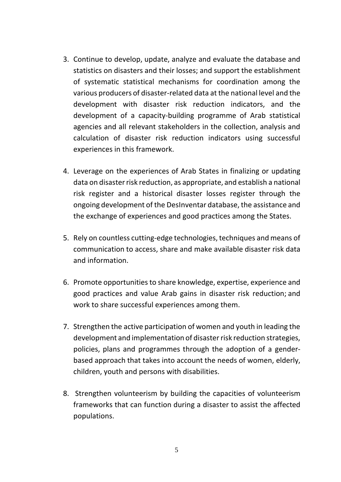- 3. Continue to develop, update, analyze and evaluate the database and statistics on disasters and their losses; and support the establishment of systematic statistical mechanisms for coordination among the various producers of disaster-related data at the national level and the development with disaster risk reduction indicators, and the development of a capacity-building programme of Arab statistical agencies and all relevant stakeholders in the collection, analysis and calculation of disaster risk reduction indicators using successful experiences in this framework.
- 4. Leverage on the experiences of Arab States in finalizing or updating data on disaster risk reduction, as appropriate, and establish a national risk register and a historical disaster losses register through the ongoing development of the DesInventar database, the assistance and the exchange of experiences and good practices among the States.
- 5. Rely on countless cutting-edge technologies, techniques and means of communication to access, share and make available disaster risk data and information.
- 6. Promote opportunities to share knowledge, expertise, experience and good practices and value Arab gains in disaster risk reduction; and work to share successful experiences among them.
- 7. Strengthen the active participation of women and youth in leading the development and implementation of disaster risk reduction strategies, policies, plans and programmes through the adoption of a genderbased approach that takes into account the needs of women, elderly, children, youth and persons with disabilities.
- 8. Strengthen volunteerism by building the capacities of volunteerism frameworks that can function during a disaster to assist the affected populations.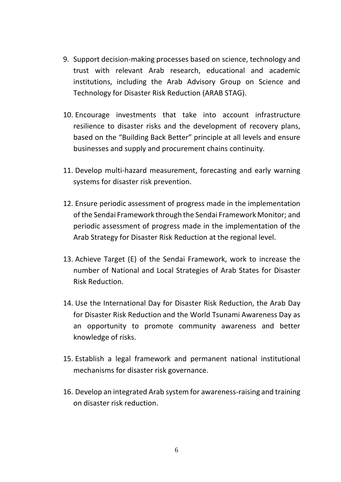- 9. Support decision-making processes based on science, technology and trust with relevant Arab research, educational and academic institutions, including the Arab Advisory Group on Science and Technology for Disaster Risk Reduction (ARAB STAG).
- 10. Encourage investments that take into account infrastructure resilience to disaster risks and the development of recovery plans, based on the "Building Back Better" principle at all levels and ensure businesses and supply and procurement chains continuity.
- 11. Develop multi-hazard measurement, forecasting and early warning systems for disaster risk prevention.
- 12. Ensure periodic assessment of progress made in the implementation of the Sendai Framework through the Sendai Framework Monitor; and periodic assessment of progress made in the implementation of the Arab Strategy for Disaster Risk Reduction at the regional level.
- 13. Achieve Target (E) of the Sendai Framework, work to increase the number of National and Local Strategies of Arab States for Disaster Risk Reduction.
- 14. Use the International Day for Disaster Risk Reduction, the Arab Day for Disaster Risk Reduction and the World Tsunami Awareness Day as an opportunity to promote community awareness and better knowledge of risks.
- 15. Establish a legal framework and permanent national institutional mechanisms for disaster risk governance.
- 16. Develop an integrated Arab system for awareness-raising and training on disaster risk reduction.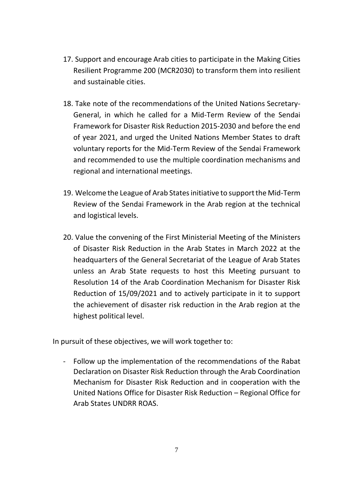- 17. Support and encourage Arab cities to participate in the Making Cities Resilient Programme 200 (MCR2030) to transform them into resilient and sustainable cities.
- 18. Take note of the recommendations of the United Nations Secretary-General, in which he called for a Mid-Term Review of the Sendai Framework for Disaster Risk Reduction 2015-2030 and before the end of year 2021, and urged the United Nations Member States to draft voluntary reports for the Mid-Term Review of the Sendai Framework and recommended to use the multiple coordination mechanisms and regional and international meetings.
- 19. Welcome the League of Arab States initiative to support the Mid-Term Review of the Sendai Framework in the Arab region at the technical and logistical levels.
- 20. Value the convening of the First Ministerial Meeting of the Ministers of Disaster Risk Reduction in the Arab States in March 2022 at the headquarters of the General Secretariat of the League of Arab States unless an Arab State requests to host this Meeting pursuant to Resolution 14 of the Arab Coordination Mechanism for Disaster Risk Reduction of 15/09/2021 and to actively participate in it to support the achievement of disaster risk reduction in the Arab region at the highest political level.

In pursuit of these objectives, we will work together to:

- Follow up the implementation of the recommendations of the Rabat Declaration on Disaster Risk Reduction through the Arab Coordination Mechanism for Disaster Risk Reduction and in cooperation with the United Nations Office for Disaster Risk Reduction – Regional Office for Arab States UNDRR ROAS.